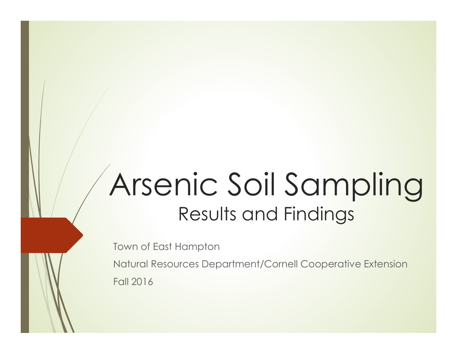# Arsenic Soil Sampling Results and Findings

Town of East Hampton

Natural Resources Department/Cornell Cooperative Extension Fall 2016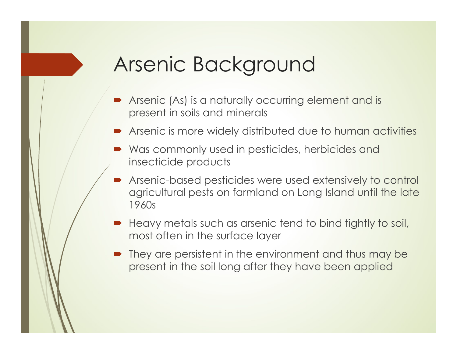## Arsenic Background

- Arsenic (As) is a naturally occurring element and is present in soils and minerals
- Arsenic is more widely distributed due to human activities
- Was commonly used in pesticides, herbicides and insecticide products
- Arsenic-based pesticides were used extensively to control agricultural pests on farmland on Long Island until the late 1960s
- Heavy metals such as arsenic tend to bind tightly to soil, most often in the surface layer
- They are persistent in the environment and thus may be present in the soil long after they have been applied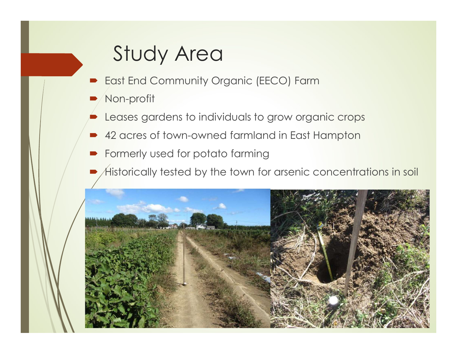# Study Area

- East End Community Organic (EECO) Farm
- Non-profit
- Leases gardens to individuals to grow organic crops
- 42 acres of town-owned farmland in East Hampton
- **•** Formerly used for potato farming
- Historically tested by the town for arsenic concentrations in soil

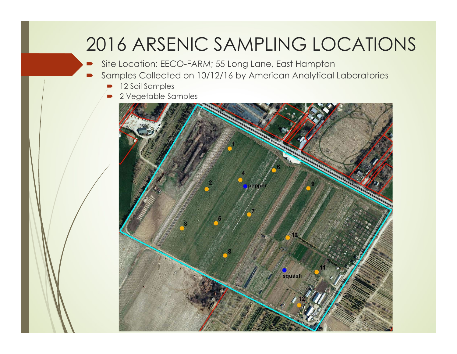#### 2016 ARSENIC SAMPLING LOCATIONS

Site Location: EECO-FARM; 55 Long Lane, East Hampton

- Samples Collected on 10/12/16 by American Analytical Laboratories
	- 12 Soil Samples
	- 2 Vegetable Samples

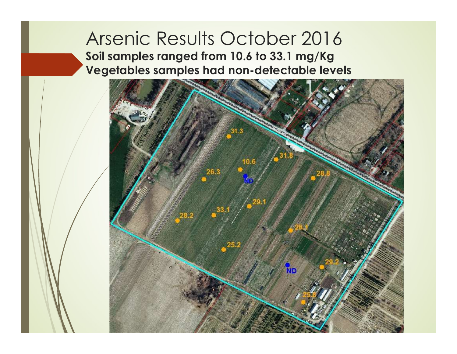#### Arsenic Results October 2016 Soil samples ranged from 10.6 to 33.1 mg/Kg Vegetables samples had non-detectable levels

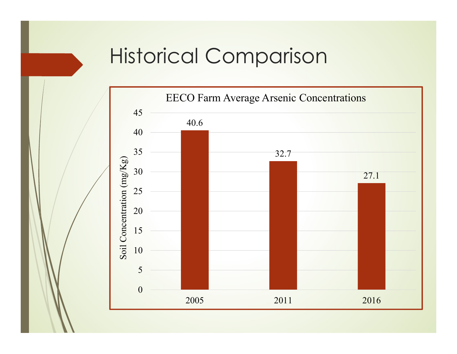# Historical Comparison

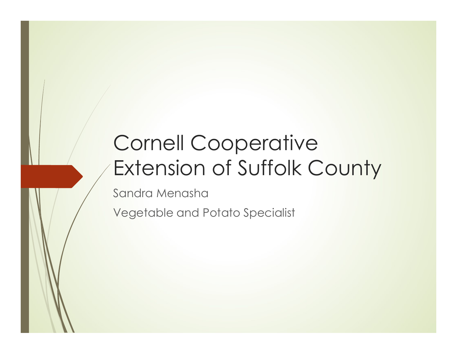# Cornell Cooperative Extension of Suffolk County

Sandra Menasha

Vegetable and Potato Specialist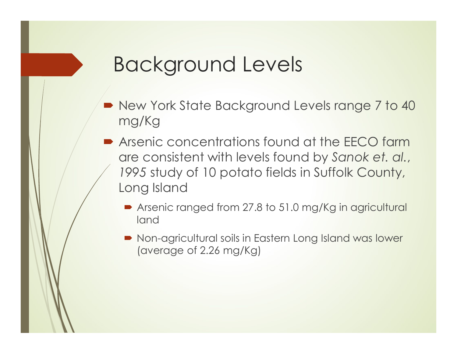# Background Levels

- New York State Background Levels range 7 to 40 mg/Kg
- **Arsenic concentrations found at the EECO farm** 3<br>
are consisted by Sandary<br>
New York State Background Levels range 7 to 40<br>
mg/Kg<br>
Arsenic concentrations found at the EECO farm<br>
are consistent with levels found by Sanok et. al.,<br>
1995 study of 10 potato fields in Suffo 1995 study of 10 potato fields in Suffolk County, Long Island
	- Arsenic ranged from 27.8 to 51.0 mg/Kg in agricultural land
	- Non-agricultural soils in Eastern Long Island was lower (average of 2.26 mg/Kg)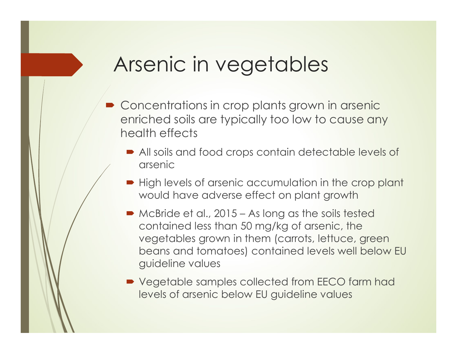# Arsenic in vegetables

- Concentrations in crop plants grown in arsenic enriched soils are typically too low to cause any health effects
	- All soils and food crops contain detectable levels of arsenic
	- High levels of arsenic accumulation in the crop plant would have adverse effect on plant growth
- MOCHIC COMBINES<br>
Manufold School Concentrations in crop plants grown in arsenic<br>
Intriched soils are typically too low to cause any<br>
Mealth effects<br>
Manufold have adverse effect on plant growth<br>
Muscular lower adverse effe contained less than 50 mg/kg of arsenic, the vegetables grown in them (carrots, lettuce, green beans and tomatoes) contained levels well below EU guideline values
	- Vegetable samples collected from EECO farm had levels of arsenic below EU guideline values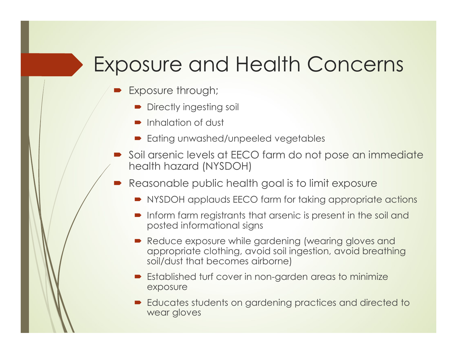## Exposure and Health Concerns

- Exposure through;
	- Directly ingesting soil
	- **Inhalation of dust**
	- **Eating unwashed/unpeeled vegetables**
- $\bullet$  Soil arsenic levels at EECO farm do not pose an immediate health hazard (NYSDOH)
	- Reasonable public health goal is to limit exposure
		- NYSDOH applauds EECO farm for taking appropriate actions
		- Inform farm registrants that arsenic is present in the soil and posted informational signs
		- Reduce exposure while gardening (wearing gloves and appropriate clothing, avoid soil ingestion, avoid breathing soil/dust that becomes airborne)
		- **Established turf cover in non-garden areas to minimize** exposure
		- Educates students on gardening practices and directed to wear gloves